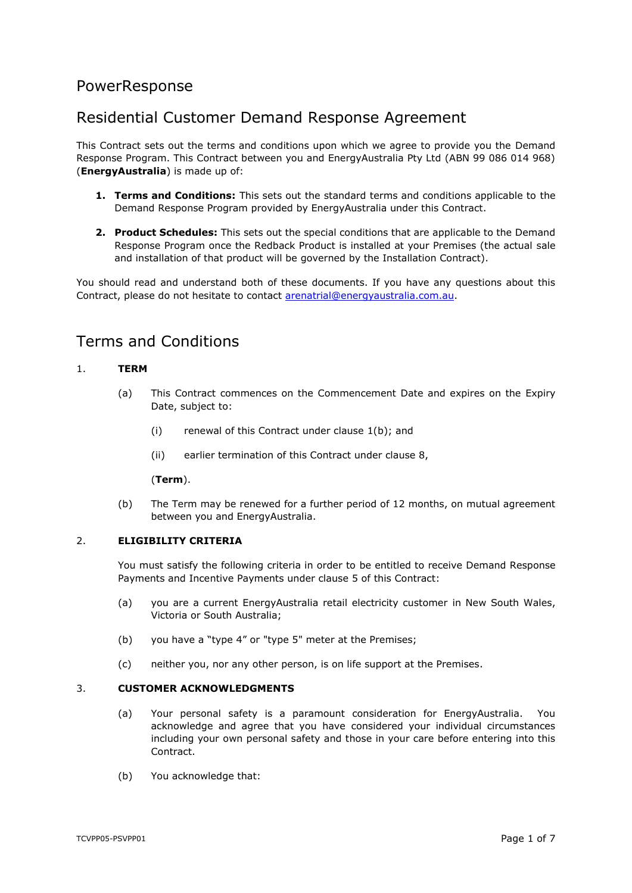# PowerResponse

# Residential Customer Demand Response Agreement

This Contract sets out the terms and conditions upon which we agree to provide you the Demand Response Program. This Contract between you and EnergyAustralia Pty Ltd (ABN 99 086 014 968) (**EnergyAustralia**) is made up of:

- **1. Terms and Conditions:** This sets out the standard terms and conditions applicable to the Demand Response Program provided by EnergyAustralia under this Contract.
- **2. Product Schedules:** This sets out the special conditions that are applicable to the Demand Response Program once the Redback Product is installed at your Premises (the actual sale and installation of that product will be governed by the Installation Contract).

You should read and understand both of these documents. If you have any questions about this Contract, please do not hesitate to contact [arenatrial@energyaustralia.com.au.](mailto:arenatrial@energyaustralia.com.au)

# Terms and Conditions

## <span id="page-0-2"></span>1. **TERM**

- (a) This Contract commences on the Commencement Date and expires on the Expiry Date, subject to:
	- (i) renewal of this Contract under clause [1\(b\);](#page-0-0) and
	- (ii) earlier termination of this Contract under clause [8,](#page-3-0)

#### (**Term**).

(b) The Term may be renewed for a further period of 12 months, on mutual agreement between you and EnergyAustralia.

## <span id="page-0-1"></span><span id="page-0-0"></span>2. **ELIGIBILITY CRITERIA**

You must satisfy the following criteria in order to be entitled to receive Demand Response Payments and Incentive Payments under clause [5](#page-1-0) of this Contract:

- (a) you are a current EnergyAustralia retail electricity customer in New South Wales, Victoria or South Australia;
- (b) you have a "type 4" or "type 5" meter at the Premises;
- (c) neither you, nor any other person, is on life support at the Premises.

#### 3. **CUSTOMER ACKNOWLEDGMENTS**

- (a) Your personal safety is a paramount consideration for EnergyAustralia. You acknowledge and agree that you have considered your individual circumstances including your own personal safety and those in your care before entering into this **Contract**
- (b) You acknowledge that: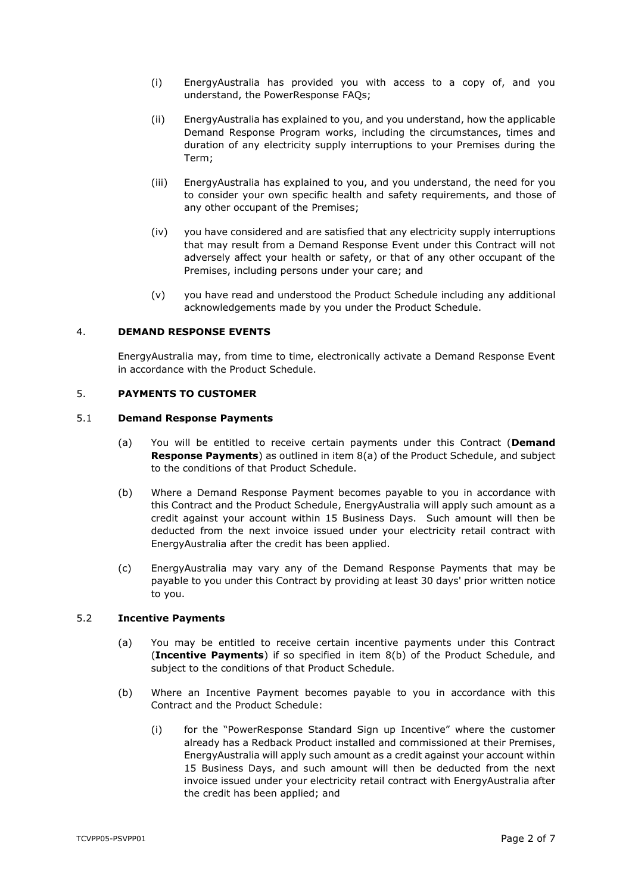- (i) EnergyAustralia has provided you with access to a copy of, and you understand, the PowerResponse FAQs;
- (ii) EnergyAustralia has explained to you, and you understand, how the applicable Demand Response Program works, including the circumstances, times and duration of any electricity supply interruptions to your Premises during the Term;
- (iii) EnergyAustralia has explained to you, and you understand, the need for you to consider your own specific health and safety requirements, and those of any other occupant of the Premises;
- (iv) you have considered and are satisfied that any electricity supply interruptions that may result from a Demand Response Event under this Contract will not adversely affect your health or safety, or that of any other occupant of the Premises, including persons under your care; and
- (v) you have read and understood the Product Schedule including any additional acknowledgements made by you under the Product Schedule.

## 4. **DEMAND RESPONSE EVENTS**

EnergyAustralia may, from time to time, electronically activate a Demand Response Event in accordance with the Product Schedule.

## <span id="page-1-0"></span>5. **PAYMENTS TO CUSTOMER**

#### <span id="page-1-3"></span><span id="page-1-2"></span>5.1 **Demand Response Payments**

- (a) You will be entitled to receive certain payments under this Contract (**Demand Response Payments**) as outlined in item [8\(a\)](#page-9-0) of the Product Schedule, and subject to the conditions of that Product Schedule.
- (b) Where a Demand Response Payment becomes payable to you in accordance with this Contract and the Product Schedule, EnergyAustralia will apply such amount as a credit against your account within 15 Business Days. Such amount will then be deducted from the next invoice issued under your electricity retail contract with EnergyAustralia after the credit has been applied.
- <span id="page-1-5"></span>(c) EnergyAustralia may vary any of the Demand Response Payments that may be payable to you under this Contract by providing at least 30 days' prior written notice to you.

#### <span id="page-1-4"></span>5.2 **Incentive Payments**

- (a) You may be entitled to receive certain incentive payments under this Contract (**Incentive Payments**) if so specified in item [8\(b\)](#page-9-1) of the Product Schedule, and subject to the conditions of that Product Schedule.
- <span id="page-1-1"></span>(b) Where an Incentive Payment becomes payable to you in accordance with this Contract and the Product Schedule:
	- (i) for the "PowerResponse Standard Sign up Incentive" where the customer already has a Redback Product installed and commissioned at their Premises, EnergyAustralia will apply such amount as a credit against your account within 15 Business Days, and such amount will then be deducted from the next invoice issued under your electricity retail contract with EnergyAustralia after the credit has been applied; and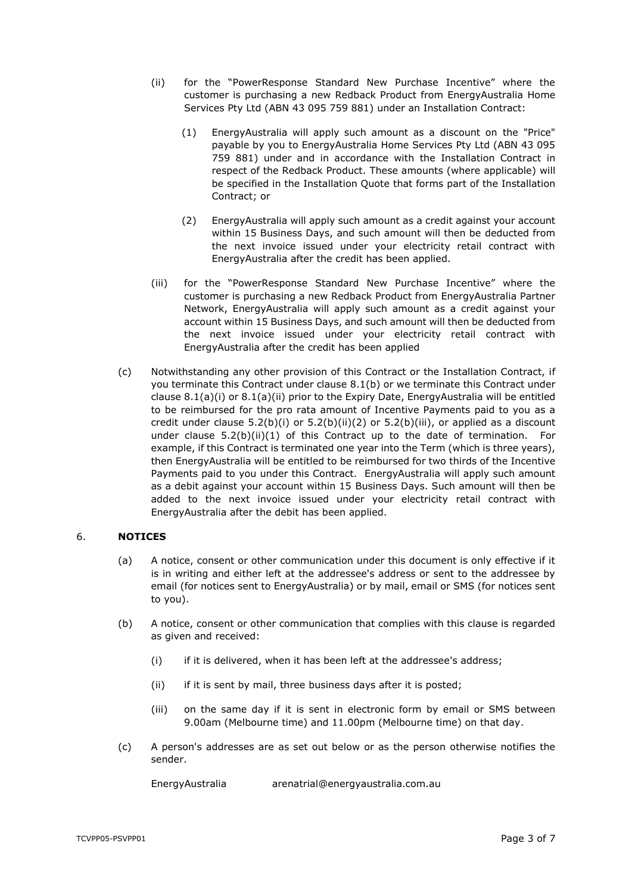- <span id="page-2-3"></span><span id="page-2-2"></span>(ii) for the "PowerResponse Standard New Purchase Incentive" where the customer is purchasing a new Redback Product from EnergyAustralia Home Services Pty Ltd (ABN 43 095 759 881) under an Installation Contract:
	- (1) EnergyAustralia will apply such amount as a discount on the "Price" payable by you to EnergyAustralia Home Services Pty Ltd (ABN 43 095 759 881) under and in accordance with the Installation Contract in respect of the Redback Product. These amounts (where applicable) will be specified in the Installation Quote that forms part of the Installation Contract; or
	- (2) EnergyAustralia will apply such amount as a credit against your account within 15 Business Days, and such amount will then be deducted from the next invoice issued under your electricity retail contract with EnergyAustralia after the credit has been applied.
- <span id="page-2-1"></span><span id="page-2-0"></span>(iii) for the "PowerResponse Standard New Purchase Incentive" where the customer is purchasing a new Redback Product from EnergyAustralia Partner Network, EnergyAustralia will apply such amount as a credit against your account within 15 Business Days, and such amount will then be deducted from the next invoice issued under your electricity retail contract with EnergyAustralia after the credit has been applied
- <span id="page-2-4"></span>(c) Notwithstanding any other provision of this Contract or the Installation Contract, if you terminate this Contract under clause [8.1\(b\)](#page-3-1) or we terminate this Contract under clause [8.1\(a\)\(i\)](#page-3-2) or [8.1\(a\)\(ii\)](#page-3-3) prior to the Expiry Date, EnergyAustralia will be entitled to be reimbursed for the pro rata amount of Incentive Payments paid to you as a credit under clause  $5.2(b)(i)$  or  $5.2(b)(ii)(2)$  $5.2(b)(ii)(2)$  or  $5.2(b)(iii)$ , or applied as a discount under clause  $5.2(b)(ii)(1)$  $5.2(b)(ii)(1)$  of this Contract up to the date of termination. For example, if this Contract is terminated one year into the Term (which is three years), then EnergyAustralia will be entitled to be reimbursed for two thirds of the Incentive Payments paid to you under this Contract. EnergyAustralia will apply such amount as a debit against your account within 15 Business Days. Such amount will then be added to the next invoice issued under your electricity retail contract with EnergyAustralia after the debit has been applied.

## 6. **NOTICES**

- (a) A notice, consent or other communication under this document is only effective if it is in writing and either left at the addressee's address or sent to the addressee by email (for notices sent to EnergyAustralia) or by mail, email or SMS (for notices sent to you).
- (b) A notice, consent or other communication that complies with this clause is regarded as given and received:
	- (i) if it is delivered, when it has been left at the addressee's address;
	- (ii) if it is sent by mail, three business days after it is posted;
	- (iii) on the same day if it is sent in electronic form by email or SMS between 9.00am (Melbourne time) and 11.00pm (Melbourne time) on that day.
- (c) A person's addresses are as set out below or as the person otherwise notifies the sender.

EnergyAustralia arenatrial@energyaustralia.com.au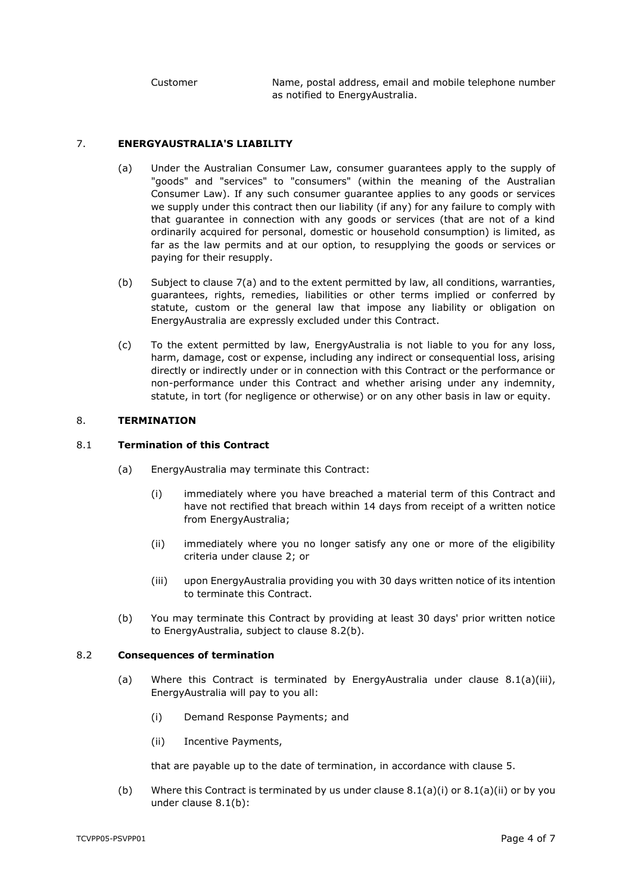Customer Name, postal address, email and mobile telephone number as notified to EnergyAustralia.

### <span id="page-3-4"></span>7. **ENERGYAUSTRALIA'S LIABILITY**

- (a) Under the Australian Consumer Law, consumer guarantees apply to the supply of "goods" and "services" to "consumers" (within the meaning of the Australian Consumer Law). If any such consumer guarantee applies to any goods or services we supply under this contract then our liability (if any) for any failure to comply with that guarantee in connection with any goods or services (that are not of a kind ordinarily acquired for personal, domestic or household consumption) is limited, as far as the law permits and at our option, to resupplying the goods or services or paying for their resupply.
- (b) Subject to clause [7\(a\)](#page-3-4) and to the extent permitted by law, all conditions, warranties, guarantees, rights, remedies, liabilities or other terms implied or conferred by statute, custom or the general law that impose any liability or obligation on EnergyAustralia are expressly excluded under this Contract.
- (c) To the extent permitted by law, EnergyAustralia is not liable to you for any loss, harm, damage, cost or expense, including any indirect or consequential loss, arising directly or indirectly under or in connection with this Contract or the performance or non-performance under this Contract and whether arising under any indemnity, statute, in tort (for negligence or otherwise) or on any other basis in law or equity.

#### <span id="page-3-0"></span>8. **TERMINATION**

### <span id="page-3-2"></span>8.1 **Termination of this Contract**

- <span id="page-3-3"></span>(a) EnergyAustralia may terminate this Contract:
	- (i) immediately where you have breached a material term of this Contract and have not rectified that breach within 14 days from receipt of a written notice from EnergyAustralia;
	- (ii) immediately where you no longer satisfy any one or more of the eligibility criteria under clause [2;](#page-0-1) or
	- (iii) upon EnergyAustralia providing you with 30 days written notice of its intention to terminate this Contract.
- <span id="page-3-6"></span>(b) You may terminate this Contract by providing at least 30 days' prior written notice to EnergyAustralia, subject to clause [8.2\(b\).](#page-3-5)

#### <span id="page-3-1"></span>8.2 **Consequences of termination**

- (a) Where this Contract is terminated by EnergyAustralia under clause  $8.1(a)(iii)$ , EnergyAustralia will pay to you all:
	- (i) Demand Response Payments; and
	- (ii) Incentive Payments,

that are payable up to the date of termination, in accordance with clause [5.](#page-1-0)

<span id="page-3-5"></span>(b) Where this Contract is terminated by us under clause  $8.1(a)(i)$  or  $8.1(a)(ii)$  or by you under clause [8.1\(b\):](#page-3-1)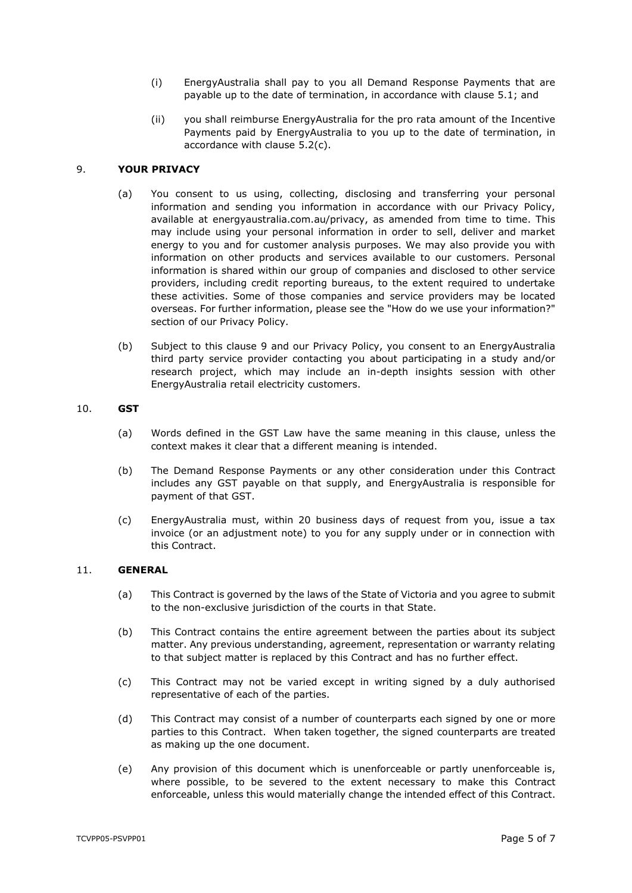- (i) EnergyAustralia shall pay to you all Demand Response Payments that are payable up to the date of termination, in accordance with clause [5.1;](#page-1-2) and
- (ii) you shall reimburse EnergyAustralia for the pro rata amount of the Incentive Payments paid by EnergyAustralia to you up to the date of termination, in accordance with clause [5.2\(c\).](#page-2-4)

### <span id="page-4-0"></span>9. **YOUR PRIVACY**

- (a) You consent to us using, collecting, disclosing and transferring your personal information and sending you information in accordance with our Privacy Policy, available at energyaustralia.com.au/privacy, as amended from time to time. This may include using your personal information in order to sell, deliver and market energy to you and for customer analysis purposes. We may also provide you with information on other products and services available to our customers. Personal information is shared within our group of companies and disclosed to other service providers, including credit reporting bureaus, to the extent required to undertake these activities. Some of those companies and service providers may be located overseas. For further information, please see the "How do we use your information?" section of our Privacy Policy.
- (b) Subject to this clause [9](#page-4-0) and our Privacy Policy, you consent to an EnergyAustralia third party service provider contacting you about participating in a study and/or research project, which may include an in-depth insights session with other EnergyAustralia retail electricity customers.

#### 10. **GST**

- (a) Words defined in the GST Law have the same meaning in this clause, unless the context makes it clear that a different meaning is intended.
- (b) The Demand Response Payments or any other consideration under this Contract includes any GST payable on that supply, and EnergyAustralia is responsible for payment of that GST.
- (c) EnergyAustralia must, within 20 business days of request from you, issue a tax invoice (or an adjustment note) to you for any supply under or in connection with this Contract.

#### 11. **GENERAL**

- (a) This Contract is governed by the laws of the State of Victoria and you agree to submit to the non-exclusive jurisdiction of the courts in that State.
- (b) This Contract contains the entire agreement between the parties about its subject matter. Any previous understanding, agreement, representation or warranty relating to that subject matter is replaced by this Contract and has no further effect.
- (c) This Contract may not be varied except in writing signed by a duly authorised representative of each of the parties.
- (d) This Contract may consist of a number of counterparts each signed by one or more parties to this Contract. When taken together, the signed counterparts are treated as making up the one document.
- (e) Any provision of this document which is unenforceable or partly unenforceable is, where possible, to be severed to the extent necessary to make this Contract enforceable, unless this would materially change the intended effect of this Contract.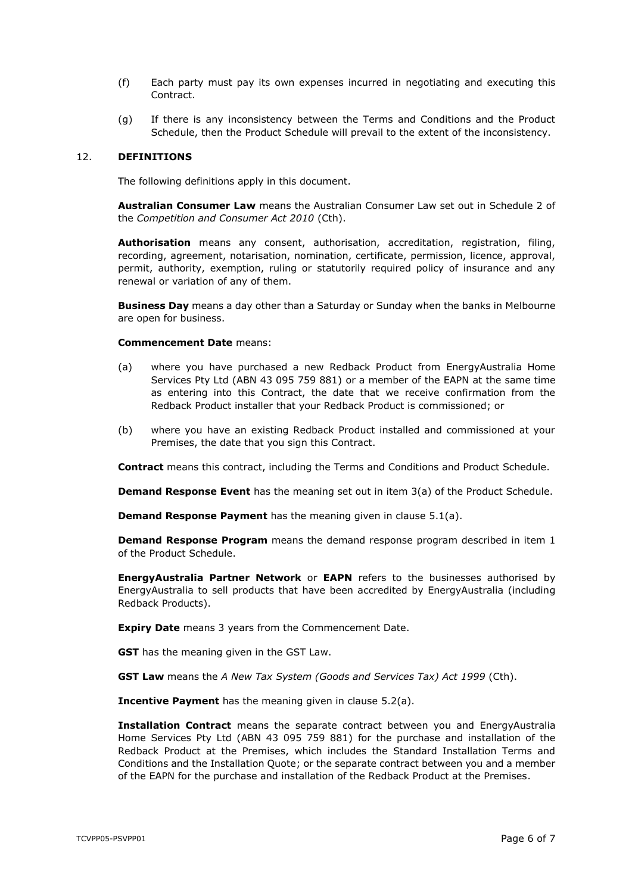- (f) Each party must pay its own expenses incurred in negotiating and executing this Contract.
- (g) If there is any inconsistency between the Terms and Conditions and the Product Schedule, then the Product Schedule will prevail to the extent of the inconsistency.

#### 12. **DEFINITIONS**

The following definitions apply in this document.

**Australian Consumer Law** means the Australian Consumer Law set out in Schedule 2 of the *Competition and Consumer Act 2010* (Cth).

**Authorisation** means any consent, authorisation, accreditation, registration, filing, recording, agreement, notarisation, nomination, certificate, permission, licence, approval, permit, authority, exemption, ruling or statutorily required policy of insurance and any renewal or variation of any of them.

**Business Day** means a day other than a Saturday or Sunday when the banks in Melbourne are open for business.

#### **Commencement Date** means:

- (a) where you have purchased a new Redback Product from EnergyAustralia Home Services Pty Ltd (ABN 43 095 759 881) or a member of the EAPN at the same time as entering into this Contract, the date that we receive confirmation from the Redback Product installer that your Redback Product is commissioned; or
- (b) where you have an existing Redback Product installed and commissioned at your Premises, the date that you sign this Contract.

**Contract** means this contract, including the Terms and Conditions and Product Schedule.

**Demand Response Event** has the meaning set out in item [3\(a\)](#page-7-0) of the Product Schedule.

**Demand Response Payment** has the meaning given in clause [5.1\(a\).](#page-1-3)

**Demand Response Program** means the demand response program described in item [1](#page-7-1) of the Product Schedule.

**EnergyAustralia Partner Network** or **EAPN** refers to the businesses authorised by EnergyAustralia to sell products that have been accredited by EnergyAustralia (including Redback Products).

**Expiry Date** means 3 years from the Commencement Date.

**GST** has the meaning given in the GST Law.

**GST Law** means the *A New Tax System (Goods and Services Tax) Act 1999* (Cth).

**Incentive Payment** has the meaning given in clause [5.2\(a\).](#page-1-4)

**Installation Contract** means the separate contract between you and EnergyAustralia Home Services Pty Ltd (ABN 43 095 759 881) for the purchase and installation of the Redback Product at the Premises, which includes the Standard Installation Terms and Conditions and the Installation Quote; or the separate contract between you and a member of the EAPN for the purchase and installation of the Redback Product at the Premises.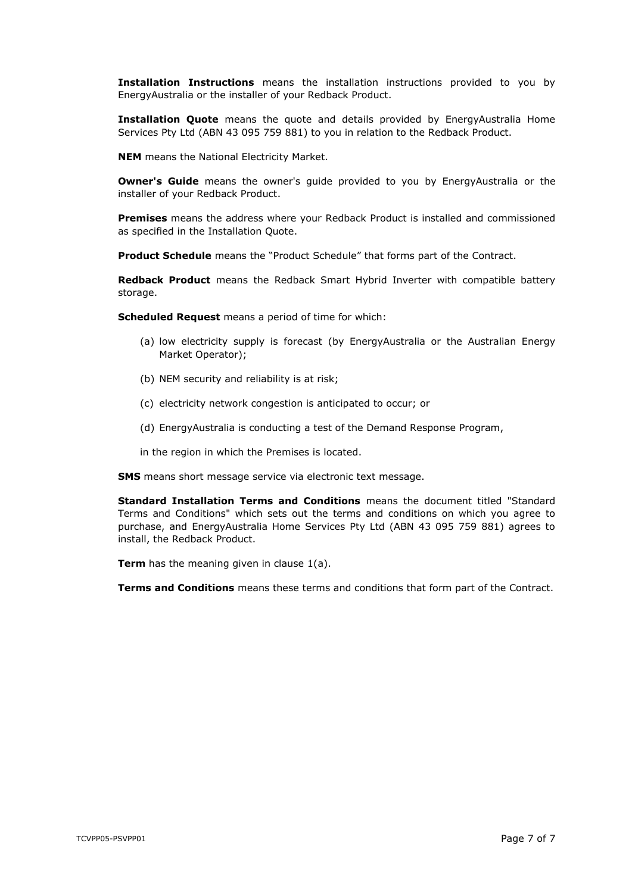**Installation Instructions** means the installation instructions provided to you by EnergyAustralia or the installer of your Redback Product.

**Installation Quote** means the quote and details provided by EnergyAustralia Home Services Pty Ltd (ABN 43 095 759 881) to you in relation to the Redback Product.

**NEM** means the National Electricity Market.

**Owner's Guide** means the owner's quide provided to you by EnergyAustralia or the installer of your Redback Product.

**Premises** means the address where your Redback Product is installed and commissioned as specified in the Installation Quote.

**Product Schedule** means the "Product Schedule" that forms part of the Contract.

**Redback Product** means the Redback Smart Hybrid Inverter with compatible battery storage.

**Scheduled Request** means a period of time for which:

- (a) low electricity supply is forecast (by EnergyAustralia or the Australian Energy Market Operator);
- (b) NEM security and reliability is at risk;
- (c) electricity network congestion is anticipated to occur; or
- (d) EnergyAustralia is conducting a test of the Demand Response Program,
- in the region in which the Premises is located.

**SMS** means short message service via electronic text message.

**Standard Installation Terms and Conditions** means the document titled "Standard Terms and Conditions" which sets out the terms and conditions on which you agree to purchase, and EnergyAustralia Home Services Pty Ltd (ABN 43 095 759 881) agrees to install, the Redback Product.

**Term** has the meaning given in clause [1\(a\).](#page-0-2)

**Terms and Conditions** means these terms and conditions that form part of the Contract.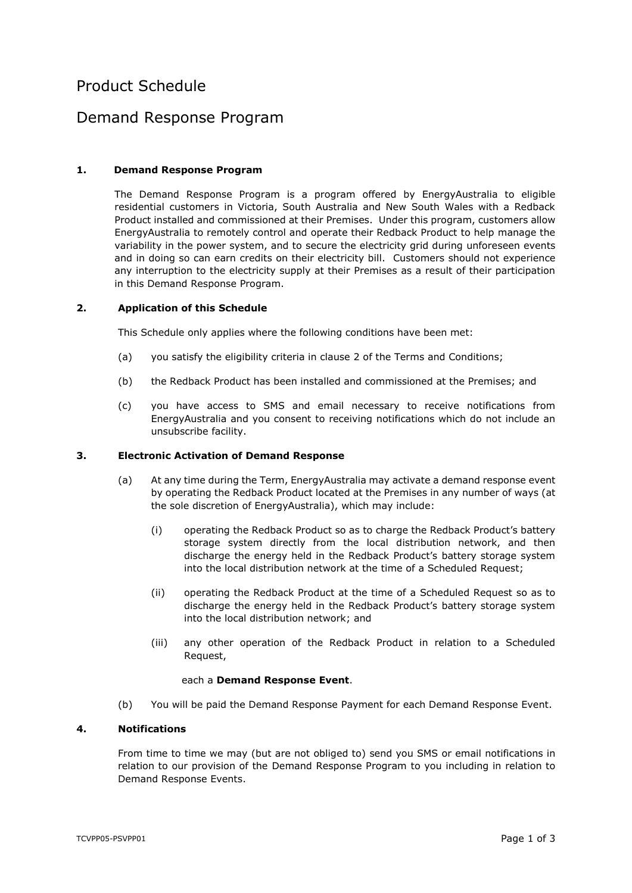# Product Schedule

## Demand Response Program

## <span id="page-7-1"></span>**1. Demand Response Program**

The Demand Response Program is a program offered by EnergyAustralia to eligible residential customers in Victoria, South Australia and New South Wales with a Redback Product installed and commissioned at their Premises. Under this program, customers allow EnergyAustralia to remotely control and operate their Redback Product to help manage the variability in the power system, and to secure the electricity grid during unforeseen events and in doing so can earn credits on their electricity bill. Customers should not experience any interruption to the electricity supply at their Premises as a result of their participation in this Demand Response Program.

#### **2. Application of this Schedule**

This Schedule only applies where the following conditions have been met:

- (a) you satisfy the eligibility criteria in clause [2](#page-0-1) of the Terms and Conditions;
- (b) the Redback Product has been installed and commissioned at the Premises; and
- (c) you have access to SMS and email necessary to receive notifications from EnergyAustralia and you consent to receiving notifications which do not include an unsubscribe facility.

#### <span id="page-7-0"></span>**3. Electronic Activation of Demand Response**

- (a) At any time during the Term, EnergyAustralia may activate a demand response event by operating the Redback Product located at the Premises in any number of ways (at the sole discretion of EnergyAustralia), which may include:
	- (i) operating the Redback Product so as to charge the Redback Product's battery storage system directly from the local distribution network, and then discharge the energy held in the Redback Product's battery storage system into the local distribution network at the time of a Scheduled Request;
	- (ii) operating the Redback Product at the time of a Scheduled Request so as to discharge the energy held in the Redback Product's battery storage system into the local distribution network; and
	- (iii) any other operation of the Redback Product in relation to a Scheduled Request,

#### each a **Demand Response Event**.

(b) You will be paid the Demand Response Payment for each Demand Response Event.

## **4. Notifications**

From time to time we may (but are not obliged to) send you SMS or email notifications in relation to our provision of the Demand Response Program to you including in relation to Demand Response Events.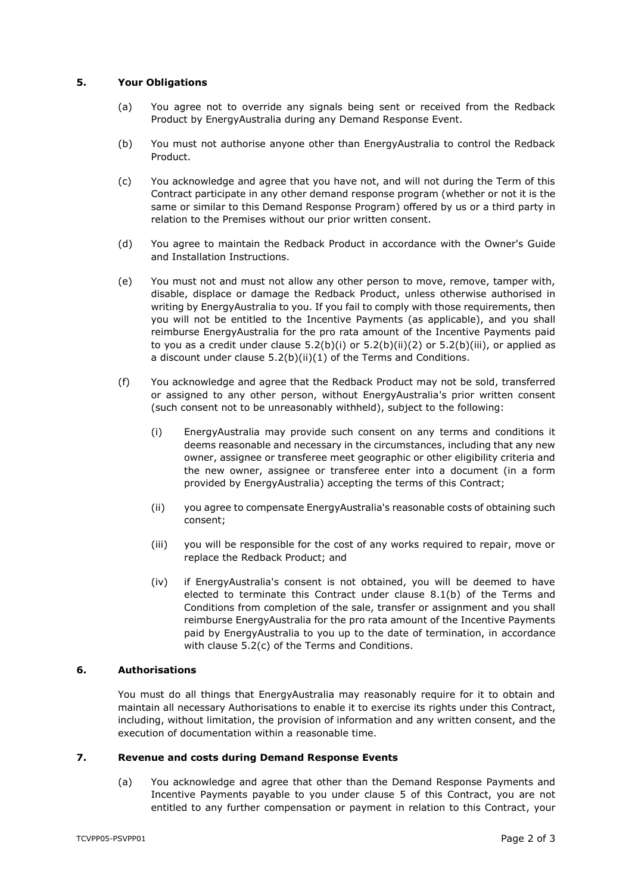## **5. Your Obligations**

- (a) You agree not to override any signals being sent or received from the Redback Product by EnergyAustralia during any Demand Response Event.
- (b) You must not authorise anyone other than EnergyAustralia to control the Redback Product.
- (c) You acknowledge and agree that you have not, and will not during the Term of this Contract participate in any other demand response program (whether or not it is the same or similar to this Demand Response Program) offered by us or a third party in relation to the Premises without our prior written consent.
- (d) You agree to maintain the Redback Product in accordance with the Owner's Guide and Installation Instructions.
- (e) You must not and must not allow any other person to move, remove, tamper with, disable, displace or damage the Redback Product, unless otherwise authorised in writing by EnergyAustralia to you. If you fail to comply with those requirements, then you will not be entitled to the Incentive Payments (as applicable), and you shall reimburse EnergyAustralia for the pro rata amount of the Incentive Payments paid to you as a credit under clause  $5.2(b)(i)$  or  $5.2(b)(ii)(2)$  $5.2(b)(ii)(2)$  or  $5.2(b)(iii)$ , or applied as a discount under clause [5.2\(b\)\(ii\)](#page-2-2)[\(1\)](#page-2-3) of the Terms and Conditions.
- (f) You acknowledge and agree that the Redback Product may not be sold, transferred or assigned to any other person, without EnergyAustralia's prior written consent (such consent not to be unreasonably withheld), subject to the following:
	- (i) EnergyAustralia may provide such consent on any terms and conditions it deems reasonable and necessary in the circumstances, including that any new owner, assignee or transferee meet geographic or other eligibility criteria and the new owner, assignee or transferee enter into a document (in a form provided by EnergyAustralia) accepting the terms of this Contract;
	- (ii) you agree to compensate EnergyAustralia's reasonable costs of obtaining such consent;
	- (iii) you will be responsible for the cost of any works required to repair, move or replace the Redback Product; and
	- (iv) if EnergyAustralia's consent is not obtained, you will be deemed to have elected to terminate this Contract under clause [8.1\(b\)](#page-3-1) of the Terms and Conditions from completion of the sale, transfer or assignment and you shall reimburse EnergyAustralia for the pro rata amount of the Incentive Payments paid by EnergyAustralia to you up to the date of termination, in accordance with clause [5.2\(c\)](#page-2-4) of the Terms and Conditions.

#### **6. Authorisations**

You must do all things that EnergyAustralia may reasonably require for it to obtain and maintain all necessary Authorisations to enable it to exercise its rights under this Contract, including, without limitation, the provision of information and any written consent, and the execution of documentation within a reasonable time.

### **7. Revenue and costs during Demand Response Events**

(a) You acknowledge and agree that other than the Demand Response Payments and Incentive Payments payable to you under clause [5](#page-1-0) of this Contract, you are not entitled to any further compensation or payment in relation to this Contract, your